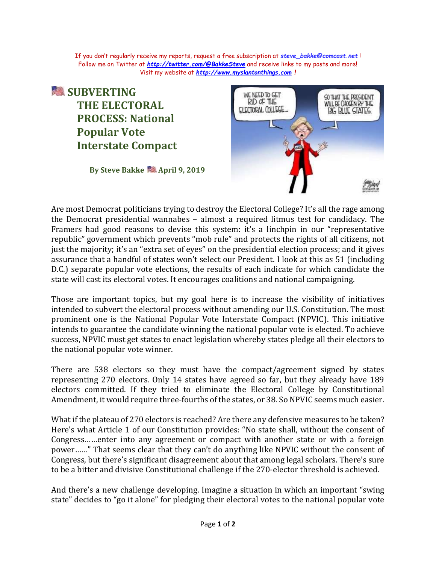If you don't regularly receive my reports, request a free subscription at *[steve\\_bakke@comcast.net](mailto:steve_bakke@comcast.net)* ! Follow me on Twitter at *<http://twitter.com/@BakkeSteve>* and receive links to my posts and more! Visit my website at *[http://www.myslantonthings.com](http://www.myslantonthings.com/) !*

## **SUBVERTING THE ELECTORAL PROCESS: National Popular Vote Interstate Compact**

**By Steve Bakke April 9, 2019**



Are most Democrat politicians trying to destroy the Electoral College? It's all the rage among the Democrat presidential wannabes – almost a required litmus test for candidacy. The Framers had good reasons to devise this system: it's a linchpin in our "representative republic" government which prevents "mob rule" and protects the rights of all citizens, not just the majority; it's an "extra set of eyes" on the presidential election process; and it gives assurance that a handful of states won't select our President. I look at this as 51 (including D.C.) separate popular vote elections, the results of each indicate for which candidate the state will cast its electoral votes. It encourages coalitions and national campaigning.

Those are important topics, but my goal here is to increase the visibility of initiatives intended to subvert the electoral process without amending our U.S. Constitution. The most prominent one is the National Popular Vote Interstate Compact (NPVIC). This initiative intends to guarantee the candidate winning the national popular vote is elected. To achieve success, NPVIC must get states to enact legislation whereby states pledge all their electors to the national popular vote winner.

There are 538 electors so they must have the compact/agreement signed by states representing 270 electors. Only 14 states have agreed so far, but they already have 189 electors committed. If they tried to eliminate the Electoral College by Constitutional Amendment, it would require three-fourths of the states, or 38. So NPVIC seems much easier.

What if the plateau of 270 electors is reached? Are there any defensive measures to be taken? Here's what Article 1 of our Constitution provides: "No state shall, without the consent of Congress……enter into any agreement or compact with another state or with a foreign power……" That seems clear that they can't do anything like NPVIC without the consent of Congress, but there's significant disagreement about that among legal scholars. There's sure to be a bitter and divisive Constitutional challenge if the 270-elector threshold is achieved.

And there's a new challenge developing. Imagine a situation in which an important "swing state" decides to "go it alone" for pledging their electoral votes to the national popular vote